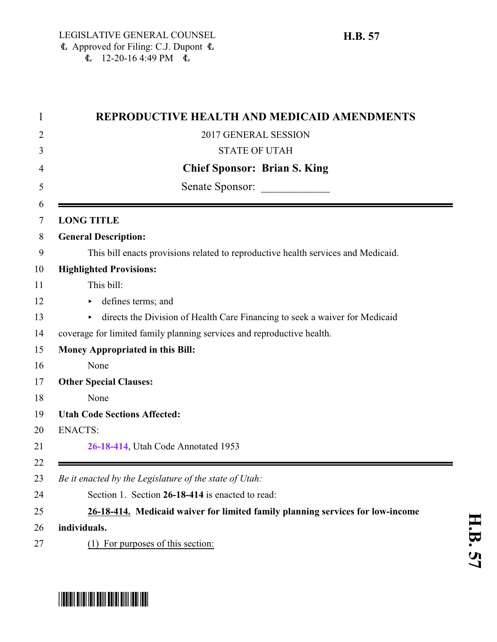|                   | REPRODUCTIVE HEALTH AND MEDICAID AMENDMENTS                                       |  |
|-------------------|-----------------------------------------------------------------------------------|--|
|                   | 2017 GENERAL SESSION                                                              |  |
|                   | <b>STATE OF UTAH</b>                                                              |  |
|                   | <b>Chief Sponsor: Brian S. King</b>                                               |  |
| Senate Sponsor:   |                                                                                   |  |
| <b>LONG TITLE</b> |                                                                                   |  |
|                   | <b>General Description:</b>                                                       |  |
|                   | This bill enacts provisions related to reproductive health services and Medicaid. |  |
|                   | <b>Highlighted Provisions:</b>                                                    |  |
|                   | This bill:                                                                        |  |
| Þ.                | defines terms; and                                                                |  |
| Þ.                | directs the Division of Health Care Financing to seek a waiver for Medicaid       |  |
|                   | coverage for limited family planning services and reproductive health.            |  |
|                   | <b>Money Appropriated in this Bill:</b>                                           |  |
|                   | None                                                                              |  |
|                   | <b>Other Special Clauses:</b>                                                     |  |
|                   | None                                                                              |  |
|                   | <b>Utah Code Sections Affected:</b>                                               |  |
| <b>ENACTS:</b>    |                                                                                   |  |
|                   | 26-18-414, Utah Code Annotated 1953                                               |  |
|                   |                                                                                   |  |
|                   | Be it enacted by the Legislature of the state of Utah:                            |  |
|                   | Section 1. Section 26-18-414 is enacted to read:                                  |  |
|                   | 26-18-414. Medicaid waiver for limited family planning services for low-income    |  |
| individuals.      |                                                                                   |  |
|                   | (1) For purposes of this section:                                                 |  |

## <span id="page-0-0"></span>\*HB0057\*